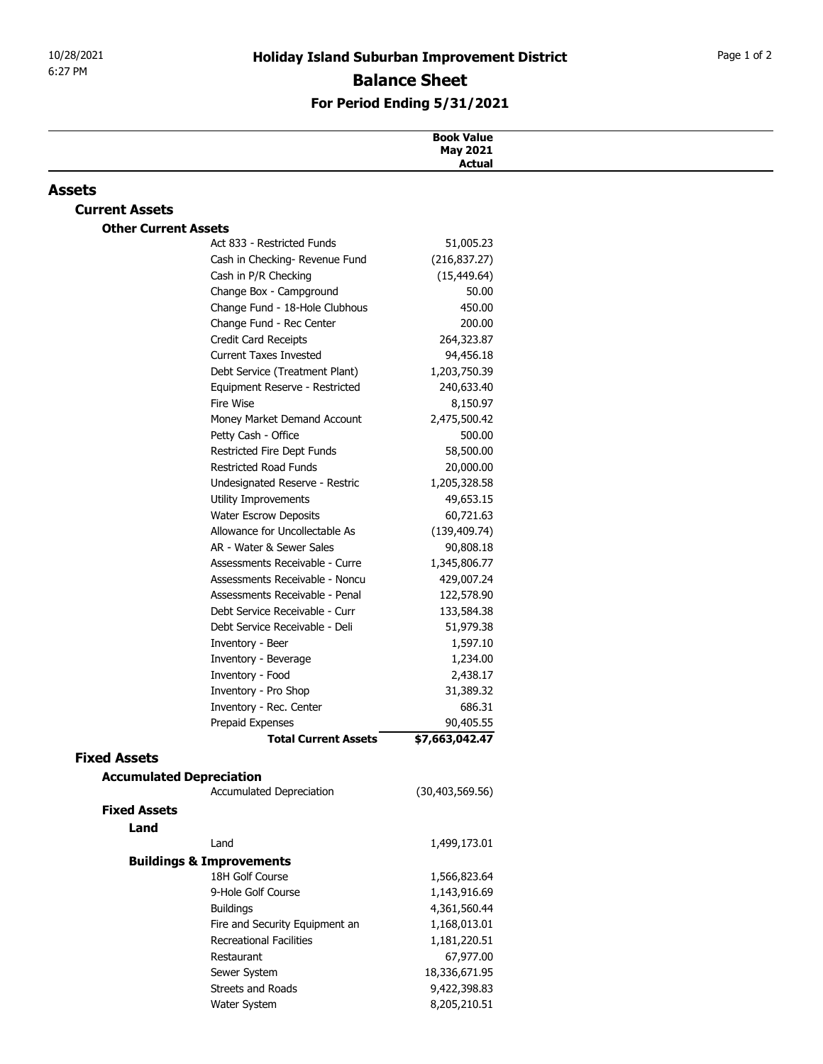## For Period Ending 5/31/2021

| 10/28/2021                  | <b>Holiday Island Suburban Improvement District</b>              |                                      | Page 1 of 2 |
|-----------------------------|------------------------------------------------------------------|--------------------------------------|-------------|
| 6:27 PM                     |                                                                  | <b>Balance Sheet</b>                 |             |
|                             | For Period Ending 5/31/2021                                      |                                      |             |
|                             |                                                                  |                                      |             |
|                             |                                                                  | <b>Book Value</b><br><b>May 2021</b> |             |
|                             |                                                                  | <b>Actual</b>                        |             |
| <b>Assets</b>               |                                                                  |                                      |             |
| <b>Current Assets</b>       |                                                                  |                                      |             |
| <b>Other Current Assets</b> |                                                                  |                                      |             |
|                             | Act 833 - Restricted Funds                                       | 51,005.23                            |             |
|                             | Cash in Checking- Revenue Fund                                   | (216, 837.27)                        |             |
|                             | Cash in P/R Checking<br>Change Box - Campground                  | (15, 449.64)<br>50.00                |             |
|                             | Change Fund - 18-Hole Clubhous                                   | 450.00                               |             |
|                             | Change Fund - Rec Center                                         | 200.00                               |             |
|                             | Credit Card Receipts                                             | 264,323.87                           |             |
|                             | <b>Current Taxes Invested</b>                                    | 94,456.18                            |             |
|                             | Debt Service (Treatment Plant)                                   | 1,203,750.39                         |             |
|                             | Equipment Reserve - Restricted                                   | 240,633.40                           |             |
|                             | Fire Wise                                                        | 8,150.97                             |             |
|                             | Money Market Demand Account<br>Petty Cash - Office               | 2,475,500.42<br>500.00               |             |
|                             | Restricted Fire Dept Funds                                       | 58,500.00                            |             |
|                             | Restricted Road Funds                                            | 20,000.00                            |             |
|                             | Undesignated Reserve - Restric                                   | 1,205,328.58                         |             |
|                             | Utility Improvements                                             | 49,653.15                            |             |
|                             | Water Escrow Deposits                                            | 60,721.63                            |             |
|                             | Allowance for Uncollectable As                                   | (139, 409.74)                        |             |
|                             | AR - Water & Sewer Sales                                         | 90,808.18                            |             |
|                             | Assessments Receivable - Curre<br>Assessments Receivable - Noncu | 1,345,806.77<br>429,007.24           |             |
|                             | Assessments Receivable - Penal                                   | 122,578.90                           |             |
|                             | Debt Service Receivable - Curr                                   | 133,584.38                           |             |
|                             | Debt Service Receivable - Deli                                   | 51,979.38                            |             |
|                             | Inventory - Beer                                                 | 1,597.10                             |             |
|                             | Inventory - Beverage                                             | 1,234.00                             |             |
|                             | Inventory - Food                                                 | 2,438.17                             |             |
|                             | Inventory - Pro Shop<br>Inventory - Rec. Center                  | 31,389.32<br>686.31                  |             |
|                             | Prepaid Expenses                                                 | 90,405.55                            |             |
|                             | <b>Total Current Assets</b>                                      | \$7,663,042.47                       |             |
| <b>Fixed Assets</b>         |                                                                  |                                      |             |
|                             | <b>Accumulated Depreciation</b>                                  |                                      |             |
|                             | Accumulated Depreciation                                         | (30, 403, 569.56)                    |             |
| <b>Fixed Assets</b>         |                                                                  |                                      |             |
| Land                        |                                                                  |                                      |             |
|                             | Land                                                             | 1,499,173.01                         |             |
|                             | <b>Buildings &amp; Improvements</b>                              |                                      |             |
|                             | 18H Golf Course<br>9-Hole Golf Course                            | 1,566,823.64<br>1,143,916.69         |             |
|                             | <b>Buildings</b>                                                 | 4,361,560.44                         |             |
|                             | Fire and Security Equipment an                                   | 1,168,013.01                         |             |
|                             | Recreational Facilities                                          | 1,181,220.51                         |             |
|                             | Restaurant                                                       | 67,977.00                            |             |
|                             | Sewer System                                                     | 18,336,671.95                        |             |
|                             | Streets and Roads                                                | 9,422,398.83                         |             |
|                             | Water System                                                     | 8,205,210.51                         |             |